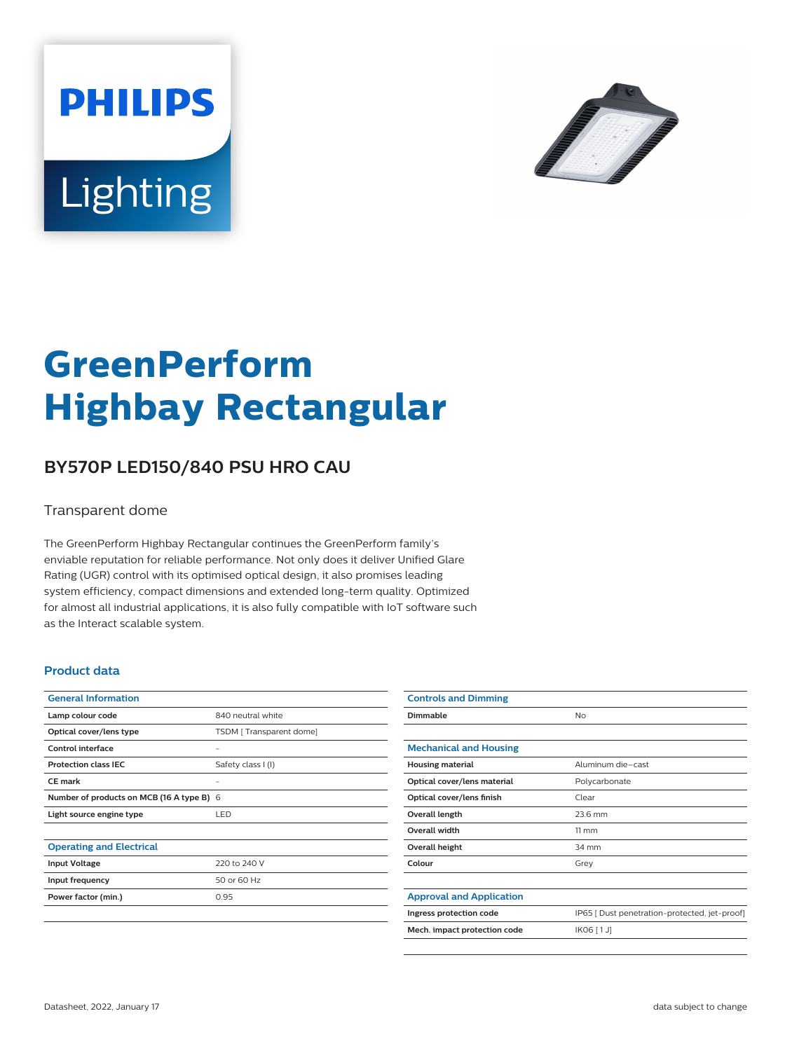



# **GreenPerform Highbay Rectangular**

## **BY570P LED150/840 PSU HRO CAU**

#### Transparent dome

The GreenPerform Highbay Rectangular continues the GreenPerform family's enviable reputation for reliable performance. Not only does it deliver Unified Glare Rating (UGR) control with its optimised optical design, it also promises leading system efficiency, compact dimensions and extended long-term quality. Optimized for almost all industrial applications, it is also fully compatible with IoT software such as the Interact scalable system.

#### **Product data**

| <b>General Information</b>                |                         |
|-------------------------------------------|-------------------------|
| Lamp colour code                          | 840 neutral white       |
| Optical cover/lens type                   | TSDM [Transparent dome] |
| Control interface                         |                         |
| <b>Protection class IEC</b>               | Safety class I (I)      |
| CF mark                                   |                         |
| Number of products on MCB (16 A type B) 6 |                         |
| Light source engine type                  | <b>LED</b>              |
|                                           |                         |
| <b>Operating and Electrical</b>           |                         |
| <b>Input Voltage</b>                      | 220 to 240 V            |
| Input frequency                           | 50 or 60 Hz             |
| Power factor (min.)                       | 0.95                    |
|                                           |                         |

| <b>Controls and Dimming</b>     |                                               |
|---------------------------------|-----------------------------------------------|
| Dimmable                        | <b>No</b>                                     |
|                                 |                                               |
| <b>Mechanical and Housing</b>   |                                               |
| <b>Housing material</b>         | Aluminum die-cast                             |
| Optical cover/lens material     | Polycarbonate                                 |
| Optical cover/lens finish       | Clear                                         |
| Overall length                  | 23.6 mm                                       |
| Overall width                   | $11 \, \mathrm{mm}$                           |
| Overall height                  | 34 mm                                         |
| Colour                          | Grey                                          |
|                                 |                                               |
| <b>Approval and Application</b> |                                               |
| Ingress protection code         | IP65 [ Dust penetration-protected, jet-proof] |
| Mech. impact protection code    | IK06 [1J]                                     |
|                                 |                                               |